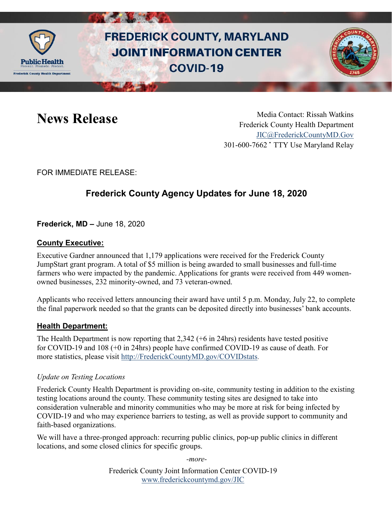

# **FREDERICK COUNTY, MARYLAND JOINT INFORMATION CENTER COVID-19**



News Release Media Contact: Rissah Watkins Frederick County Health Department [JIC@FrederickCountyMD.Gov](mailto:JIC@FrederickCountyMD.Gov) 301-600-7662 • TTY Use Maryland Relay

FOR IMMEDIATE RELEASE:

## **Frederick County Agency Updates for June 18, 2020**

**Frederick, MD –** June 18, 2020

#### **County Executive:**

Executive Gardner announced that 1,179 applications were received for the Frederick County JumpStart grant program. A total of \$5 million is being awarded to small businesses and full-time farmers who were impacted by the pandemic. Applications for grants were received from 449 womenowned businesses, 232 minority-owned, and 73 veteran-owned.

Applicants who received letters announcing their award have until 5 p.m. Monday, July 22, to complete the final paperwork needed so that the grants can be deposited directly into businesses' bank accounts.

#### **Health Department:**

The Health Department is now reporting that 2,342 (+6 in 24hrs) residents have tested positive for COVID-19 and 108 (+0 in 24hrs) people have confirmed COVID-19 as cause of death. For more statistics, please visit [http://FrederickCountyMD.gov/COVIDstats.](http://frederickcountymd.gov/COVIDstats)

#### *Update on Testing Locations*

Frederick County Health Department is providing on-site, community testing in addition to the existing testing locations around the county. These community testing sites are designed to take into consideration vulnerable and minority communities who may be more at risk for being infected by COVID-19 and who may experience barriers to testing, as well as provide support to community and faith-based organizations.

We will have a three-pronged approach: recurring public clinics, pop-up public clinics in different locations, and some closed clinics for specific groups.

*-more-*

Frederick County Joint Information Center COVID-19 [www.frederickcountymd.gov/JIC](https://frederickcountymd.gov/JIC)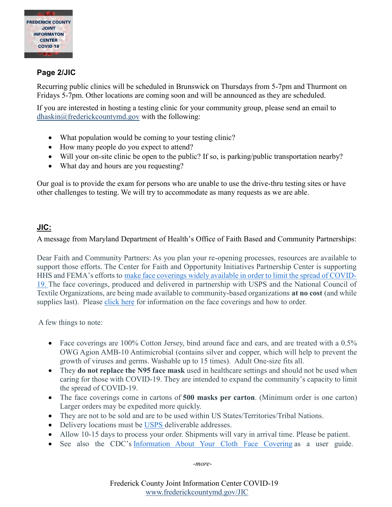

#### **Page 2/JIC**

Recurring public clinics will be scheduled in Brunswick on Thursdays from 5-7pm and Thurmont on Fridays 5-7pm. Other locations are coming soon and will be announced as they are scheduled.

If you are interested in hosting a testing clinic for your community group, please send an email to [dhaskin@frederickcountymd.gov](mailto:dhaskin@frederickcountymd.gov) with the following:

- What population would be coming to your testing clinic?
- How many people do you expect to attend?
- Will your on-site clinic be open to the public? If so, is parking/public transportation nearby?
- What day and hours are you requesting?

Our goal is to provide the exam for persons who are unable to use the drive-thru testing sites or have other challenges to testing. We will try to accommodate as many requests as we are able.

#### **JIC:**

A message from Maryland Department of Health's Office of Faith Based and Community Partnerships:

Dear Faith and Community Partners: As you plan your re-opening processes, resources are available to support those efforts. The Center for Faith and Opportunity Initiatives Partnership Center is supporting HHS and FEMA's efforts to [make face coverings widely available in order to limit the spread of COVID-](https://www.dropbox.com/s/mpot5d61t3dc895/Face%20Covering%20Information%20Sheet_12%20June2020.pdf?dl=0)[19.](https://www.dropbox.com/s/mpot5d61t3dc895/Face%20Covering%20Information%20Sheet_12%20June2020.pdf?dl=0) The face coverings, produced and delivered in partnership with USPS and the National Council of Textile Organizations, are being made available to community-based organizations **at no cost** (and while supplies last). Please [click here](https://www.dropbox.com/s/mpot5d61t3dc895/Face%20Covering%20Information%20Sheet_12%20June2020.pdf?dl=0) for information on the face coverings and how to order.

A few things to note:

- Face coverings are 100% Cotton Jersey, bind around face and ears, and are treated with a 0.5% OWG Agion AMB-10 Antimicrobial (contains silver and copper, which will help to prevent the growth of viruses and germs. Washable up to 15 times). Adult One-size fits all.
- They **do not replace the N95 face mask** used in healthcare settings and should not be used when caring for those with COVID-19. They are intended to expand the community's capacity to limit the spread of COVID-19.
- The face coverings come in cartons of **500 masks per carton**. (Minimum order is one carton) Larger orders may be expedited more quickly.
- They are not to be sold and are to be used within US States/Territories/Tribal Nations.
- Delivery locations must be [USPS](https://www.usps.com/) deliverable addresses.
- Allow 10-15 days to process your order. Shipments will vary in arrival time. Please be patient.
- See also the CDC's [Information About Your Cloth Face Covering](https://www.cdc.gov/coronavirus/2019-ncov/downloads/fs-Important-information-cloth-face-covering.pdf) as a user guide.

*-more-*